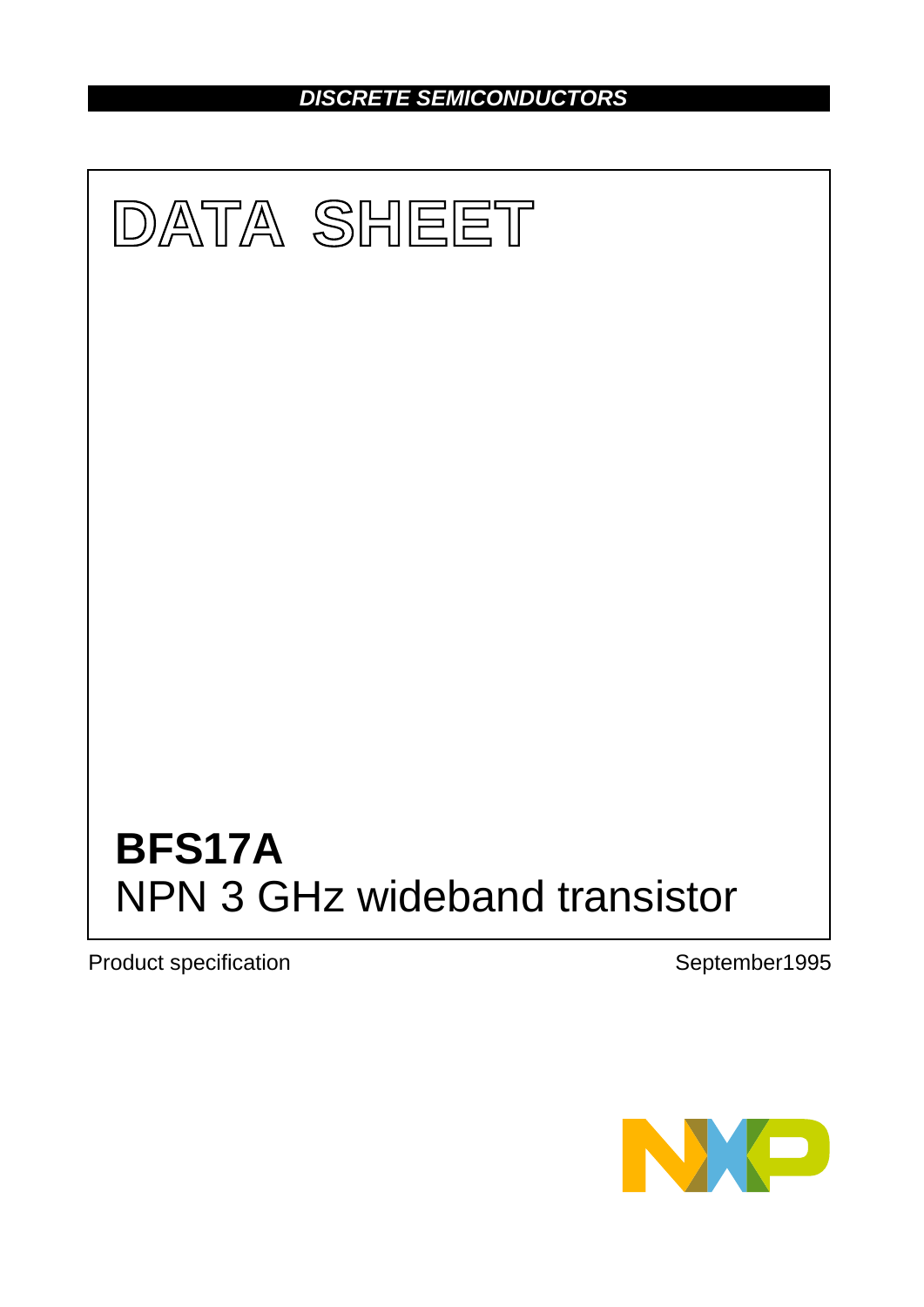*DISCRETE SEMICONDUCTORS*



Product specification **September1995** 

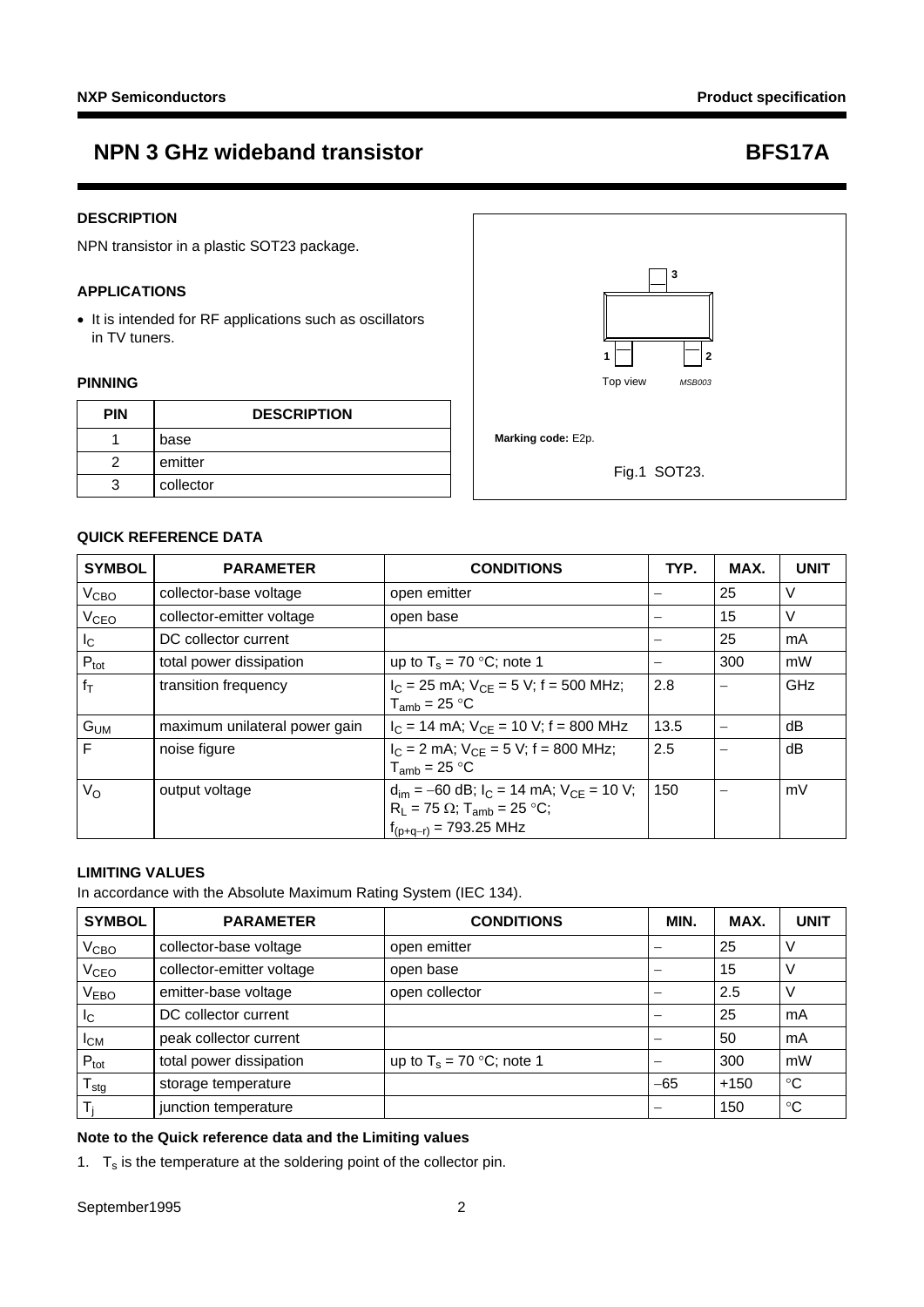### **DESCRIPTION**

NPN transistor in a plastic SOT23 package.

### **APPLICATIONS**

• It is intended for RF applications such as oscillators in TV tuners.

### **PINNING**

| <b>PIN</b> | <b>DESCRIPTION</b> |                    |              |
|------------|--------------------|--------------------|--------------|
|            | base               | Marking code: E2p. |              |
| っ          | emitter            |                    | Fig.1 SOT23. |
| 3          | collector          |                    |              |



### **QUICK REFERENCE DATA**

| <b>SYMBOL</b>          | <b>PARAMETER</b>              | <b>CONDITIONS</b>                                                                                                                          | TYP. | MAX. | <b>UNIT</b> |
|------------------------|-------------------------------|--------------------------------------------------------------------------------------------------------------------------------------------|------|------|-------------|
| V <sub>CBO</sub>       | collector-base voltage        | open emitter                                                                                                                               |      | 25   | v           |
| <b>V<sub>CEO</sub></b> | collector-emitter voltage     | open base                                                                                                                                  |      | 15   | v           |
| $I_{\rm C}$            | DC collector current          |                                                                                                                                            | —    | 25   | mA          |
| $P_{\text{tot}}$       | total power dissipation       | up to $T_s = 70$ °C; note 1                                                                                                                | -    | 300  | mW          |
| $f_T$                  | transition frequency          | $I_C$ = 25 mA; $V_{CE}$ = 5 V; f = 500 MHz;<br>$T_{amb}$ = 25 °C                                                                           | 2.8  |      | GHz         |
| G <sub>UM</sub>        | maximum unilateral power gain | $I_C = 14$ mA; $V_{CE} = 10$ V; f = 800 MHz                                                                                                | 13.5 |      | dВ          |
| F                      | noise figure                  | $I_C = 2$ mA; $V_{CF} = 5$ V; f = 800 MHz;<br>$T_{amb}$ = 25 °C                                                                            | 2.5  |      | dB          |
| $V_{\Omega}$           | output voltage                | $d_{\text{im}} = -60$ dB; $I_C = 14$ mA; $V_{CE} = 10$ V;<br>$R_L$ = 75 $\Omega$ ; T <sub>amb</sub> = 25 °C;<br>$t_{(p+q-r)} = 793.25$ MHz | 150  |      | mV          |

### **LIMITING VALUES**

In accordance with the Absolute Maximum Rating System (IEC 134).

| <b>SYMBOL</b>          | <b>PARAMETER</b>          | <b>CONDITIONS</b>           | <b>MIN</b> | MAX.   | <b>UNIT</b> |
|------------------------|---------------------------|-----------------------------|------------|--------|-------------|
| $\rm V_{CBO}$          | collector-base voltage    | open emitter                |            | 25     |             |
| V <sub>CEO</sub>       | collector-emitter voltage | open base                   |            | 15     |             |
| V <sub>EBO</sub>       | emitter-base voltage      | open collector              |            | 2.5    |             |
| Ιc                     | DC collector current      |                             |            | 25     | mA          |
| <b>I</b> <sub>CM</sub> | peak collector current    |                             |            | 50     | mA          |
| $P_{\text{tot}}$       | total power dissipation   | up to $T_s = 70$ °C; note 1 |            | 300    | mW          |
| stg                    | storage temperature       |                             | $-65$      | $+150$ | $^{\circ}C$ |
|                        | junction temperature      |                             | –          | 150    | ℃           |

### **Note to the Quick reference data and the Limiting values**

<span id="page-1-0"></span>1.  $T_s$  is the temperature at the soldering point of the collector pin.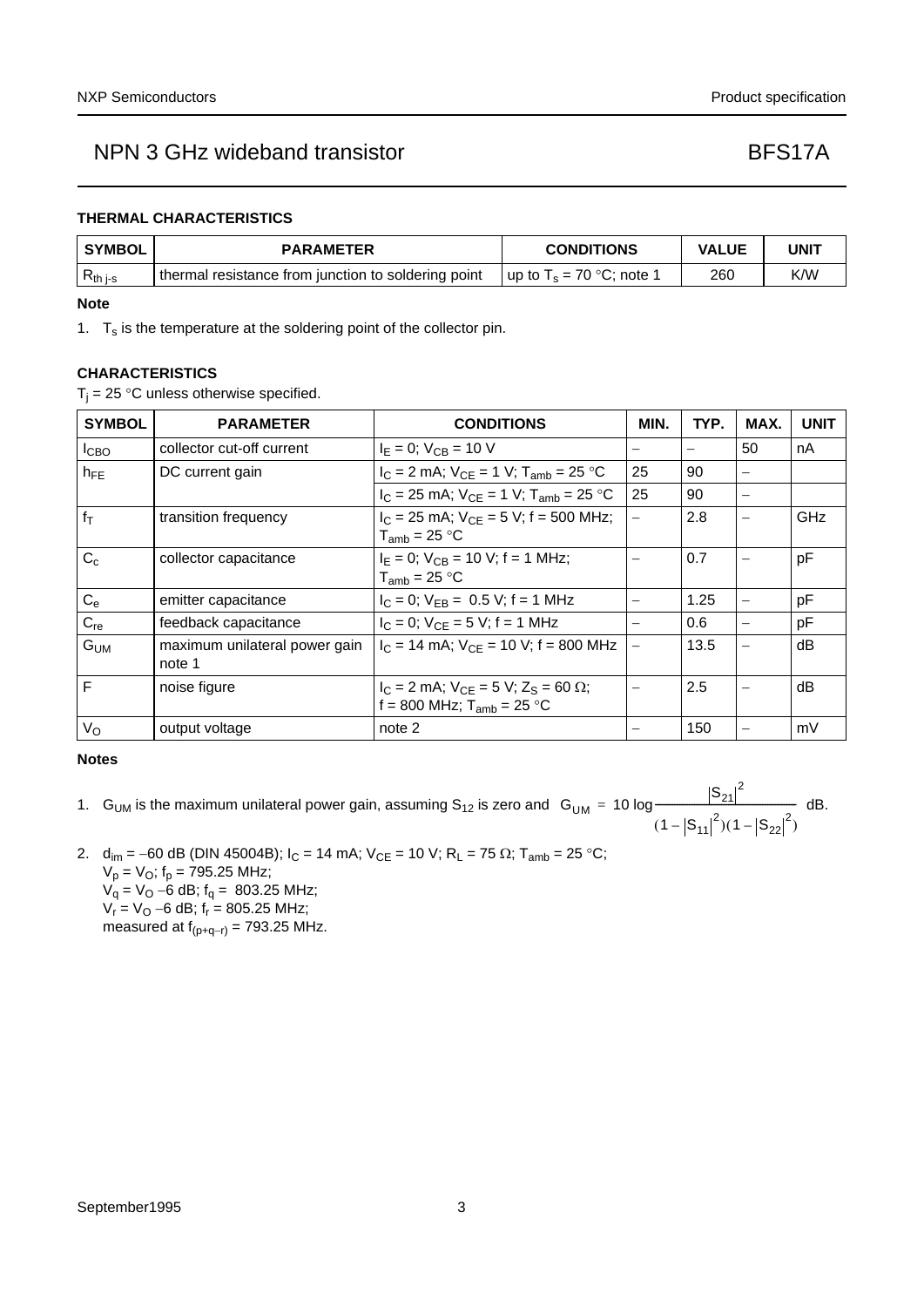### **THERMAL CHARACTERISTICS**

| <b>SYMBOL</b> | <b>PARAMETER</b>                                    | <b>CONDITIONS</b>           | <b>VALUE</b> | UNIT |
|---------------|-----------------------------------------------------|-----------------------------|--------------|------|
| $R_{th}$ j-s  | thermal resistance from junction to soldering point | up to $T_s = 70$ °C; note 1 | 260          | K/W  |

### **Note**

<span id="page-2-0"></span>1.  $T_s$  is the temperature at the soldering point of the collector pin.

### **CHARACTERISTICS**

 $T_i = 25$  °C unless otherwise specified.

| <b>SYMBOL</b>    | <b>PARAMETER</b>                        | <b>CONDITIONS</b>                                                                   | MIN.                     | TYP. | MAX.     | <b>UNIT</b> |
|------------------|-----------------------------------------|-------------------------------------------------------------------------------------|--------------------------|------|----------|-------------|
| I <sub>CBO</sub> | collector cut-off current               | $I_E = 0$ ; $V_{CB} = 10$ V                                                         | —                        |      | 50       | nA          |
| $h_{FE}$         | DC current gain                         | $I_C = 2$ mA; $V_{CE} = 1$ V; $T_{amb} = 25$ °C                                     | 25                       | 90   |          |             |
|                  |                                         | $I_C = 25$ mA; $V_{CE} = 1$ V; $T_{amb} = 25$ °C                                    | 25                       | 90   |          |             |
| $f_T$            | transition frequency                    | $I_C$ = 25 mA; $V_{CF}$ = 5 V; f = 500 MHz;<br>$T_{amb}$ = 25 °C                    | $\overline{\phantom{0}}$ | 2.8  |          | <b>GHz</b>  |
| $C_c$            | collector capacitance                   | $I_F = 0$ ; $V_{CB} = 10$ V; f = 1 MHz;<br>$T_{amb}$ = 25 °C                        | —                        | 0.7  |          | pF          |
| $C_{e}$          | emitter capacitance                     | $I_C = 0$ ; $V_{EB} = 0.5$ V; f = 1 MHz                                             |                          | 1.25 |          | pF          |
| $C_{re}$         | feedback capacitance                    | $I_C = 0$ ; $V_{CF} = 5$ V; f = 1 MHz                                               | $\overline{\phantom{0}}$ | 0.6  | $\equiv$ | pF          |
| G <sub>UM</sub>  | maximum unilateral power gain<br>note 1 | $I_C$ = 14 mA; $V_{CF}$ = 10 V; f = 800 MHz                                         | $\overline{\phantom{0}}$ | 13.5 |          | dB          |
| F                | noise figure                            | $I_C = 2$ mA; $V_{CE} = 5$ V; $Z_S = 60 \Omega$ ;<br>f = 800 MHz; $T_{amb}$ = 25 °C |                          | 2.5  |          | dB          |
| $V_{\rm O}$      | output voltage                          | note 2                                                                              |                          | 150  |          | mV          |

### <span id="page-2-2"></span>**Notes**

1. G<sub>UM</sub> is the maximum unilateral power gain, assuming S<sub>12</sub> is zero and G<sub>UM</sub> = 10 log  $\frac{|S_{21}|^2}{2}$  dB.  $(1 - |S_{11}|^2)(1 - |S_{22}|^2)$  $= 10 \log \frac{1.211}{100}$ 

<span id="page-2-1"></span>2.  $d_{im} = -60$  dB (DIN 45004B);  $I_C = 14$  mA;  $V_{CE} = 10$  V;  $R_L = 75 \Omega$ ;  $T_{amb} = 25 \degree C$ ;  $V_p = V_O$ ;  $f_p = 795.25$  MHz;  $V_q = V_Q - 6$  dB;  $f_q = 803.25$  MHz;  $V_r = V_O - 6$  dB;  $f_r = 805.25$  MHz; measured at  $f_{(p+q-r)} = 793.25$  MHz.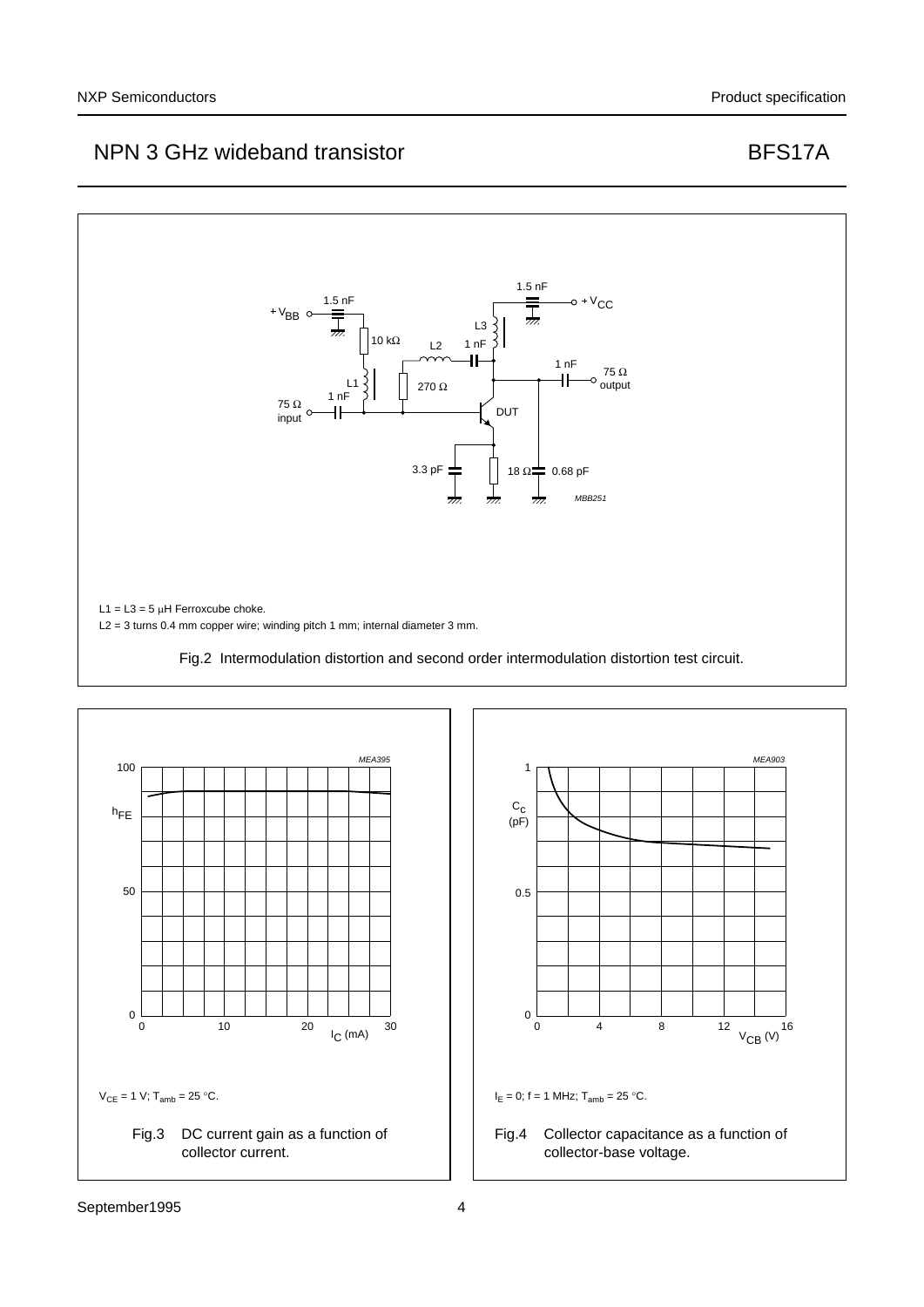

 $V_{CE} = 1 V$ ; T<sub>amb</sub> = 25 °C.





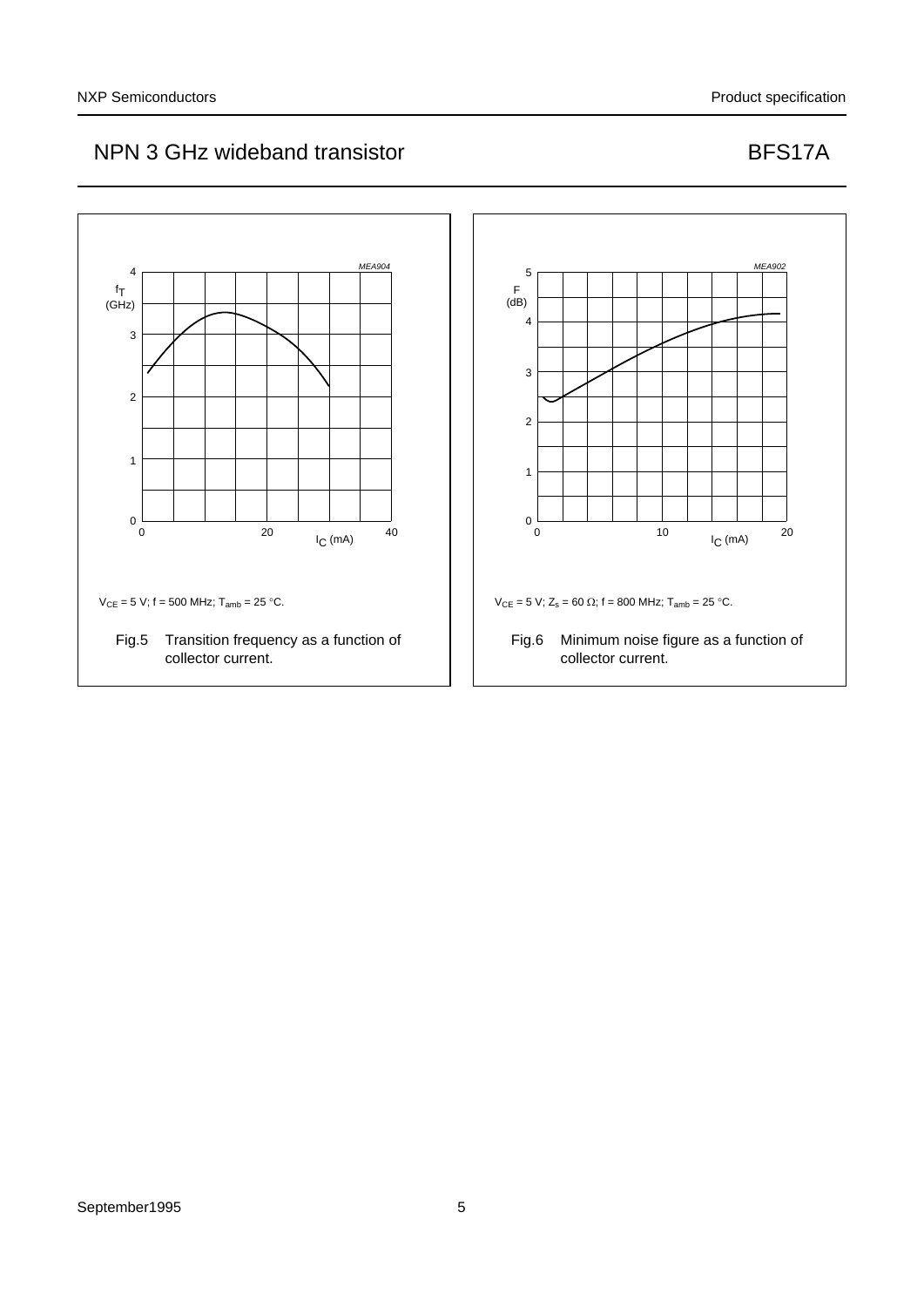

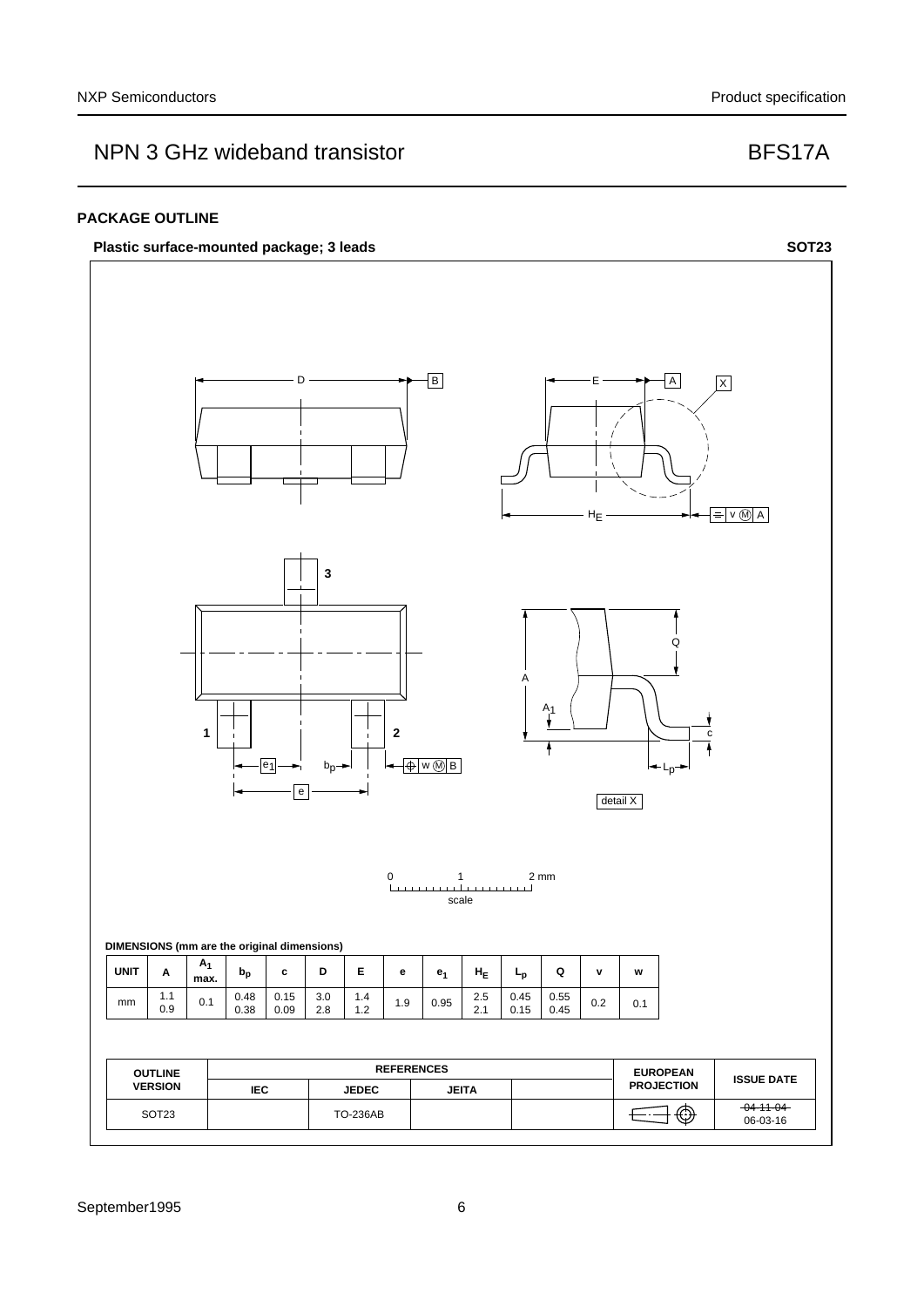### **PACKAGE OUTLINE**

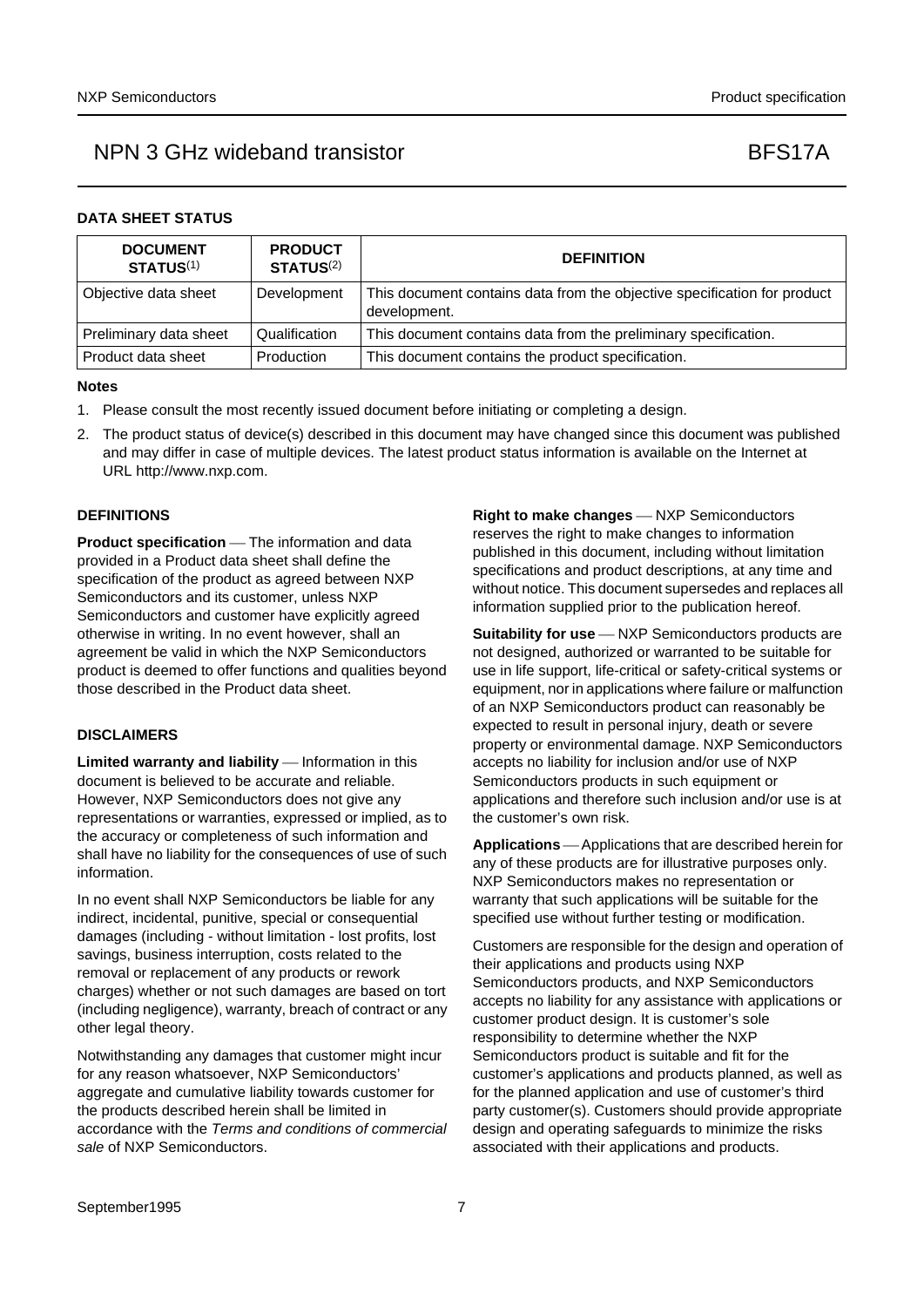### **DATA SHEET STATUS**

| <b>DOCUMENT</b><br><b>STATUS(1)</b> | <b>PRODUCT</b><br><b>STATUS(2)</b> | <b>DEFINITION</b>                                                                        |
|-------------------------------------|------------------------------------|------------------------------------------------------------------------------------------|
| Objective data sheet                | Development                        | This document contains data from the objective specification for product<br>development. |
| Preliminary data sheet              | Qualification                      | This document contains data from the preliminary specification.                          |
| Product data sheet                  | Production                         | This document contains the product specification.                                        |

### **Notes**

- <span id="page-6-0"></span>1. Please consult the most recently issued document before initiating or completing a design.
- <span id="page-6-1"></span>2. The product status of device(s) described in this document may have changed since this document was published and may differ in case of multiple devices. The latest product status information is available on the Internet at URL http://www.nxp.com.

### **DEFINITIONS**

**Product specification** — The information and data provided in a Product data sheet shall define the specification of the product as agreed between NXP Semiconductors and its customer, unless NXP Semiconductors and customer have explicitly agreed otherwise in writing. In no event however, shall an agreement be valid in which the NXP Semiconductors product is deemed to offer functions and qualities beyond those described in the Product data sheet.

### **DISCLAIMERS**

**Limited warranty and liability** — Information in this document is believed to be accurate and reliable. However, NXP Semiconductors does not give any representations or warranties, expressed or implied, as to the accuracy or completeness of such information and shall have no liability for the consequences of use of such information.

In no event shall NXP Semiconductors be liable for any indirect, incidental, punitive, special or consequential damages (including - without limitation - lost profits, lost savings, business interruption, costs related to the removal or replacement of any products or rework charges) whether or not such damages are based on tort (including negligence), warranty, breach of contract or any other legal theory.

Notwithstanding any damages that customer might incur for any reason whatsoever, NXP Semiconductors' aggregate and cumulative liability towards customer for the products described herein shall be limited in accordance with the *Terms and conditions of commercial sale* of NXP Semiconductors.

**Right to make changes** - NXP Semiconductors reserves the right to make changes to information published in this document, including without limitation specifications and product descriptions, at any time and without notice. This document supersedes and replaces all information supplied prior to the publication hereof.

**Suitability for use** - NXP Semiconductors products are not designed, authorized or warranted to be suitable for use in life support, life-critical or safety-critical systems or equipment, nor in applications where failure or malfunction of an NXP Semiconductors product can reasonably be expected to result in personal injury, death or severe property or environmental damage. NXP Semiconductors accepts no liability for inclusion and/or use of NXP Semiconductors products in such equipment or applications and therefore such inclusion and/or use is at the customer's own risk.

**Applications** — Applications that are described herein for any of these products are for illustrative purposes only. NXP Semiconductors makes no representation or warranty that such applications will be suitable for the specified use without further testing or modification.

Customers are responsible for the design and operation of their applications and products using NXP Semiconductors products, and NXP Semiconductors accepts no liability for any assistance with applications or customer product design. It is customer's sole responsibility to determine whether the NXP Semiconductors product is suitable and fit for the customer's applications and products planned, as well as for the planned application and use of customer's third party customer(s). Customers should provide appropriate design and operating safeguards to minimize the risks associated with their applications and products.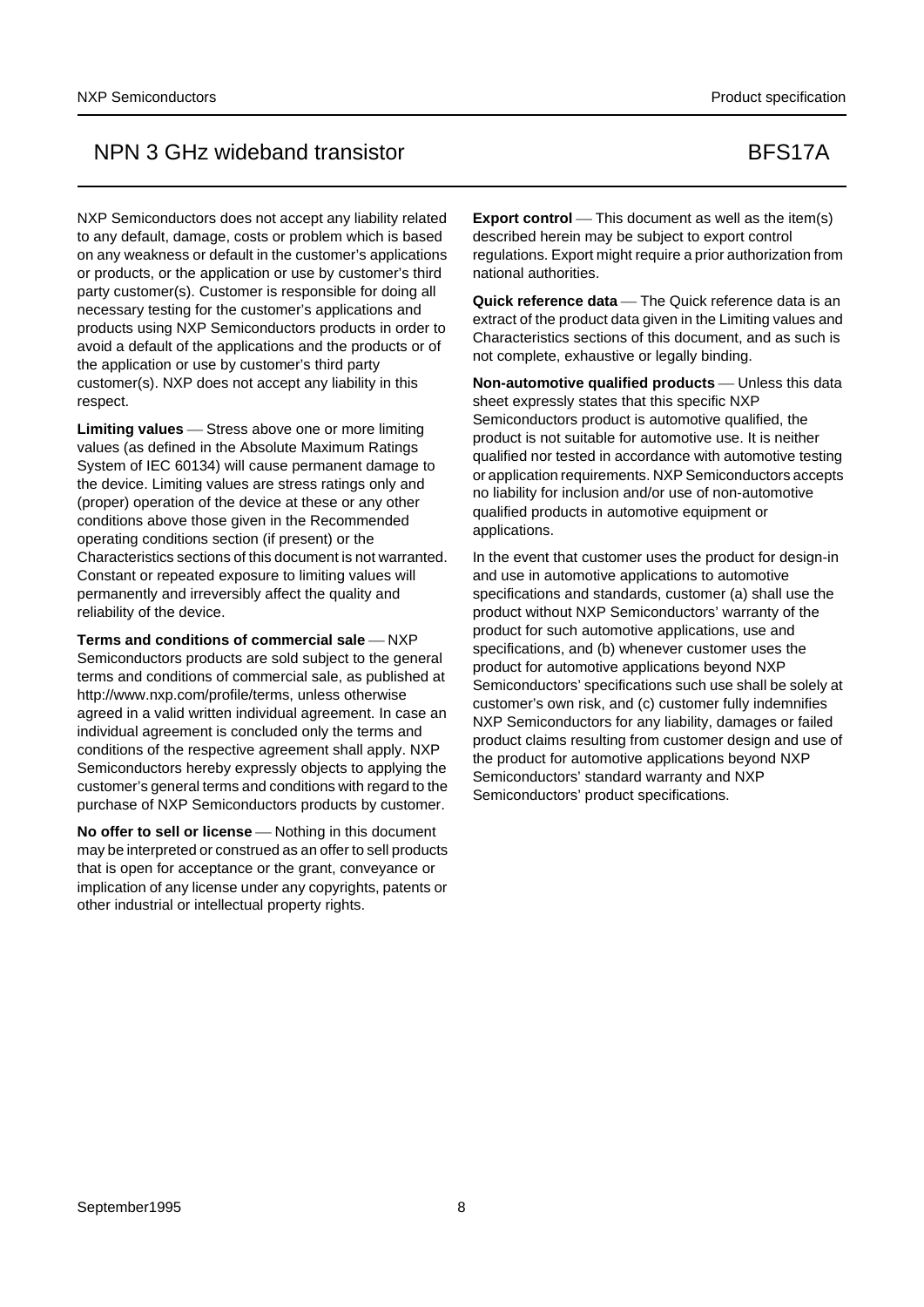NXP Semiconductors does not accept any liability related to any default, damage, costs or problem which is based on any weakness or default in the customer's applications or products, or the application or use by customer's third party customer(s). Customer is responsible for doing all necessary testing for the customer's applications and products using NXP Semiconductors products in order to avoid a default of the applications and the products or of the application or use by customer's third party customer(s). NXP does not accept any liability in this respect.

Limiting values Stress above one or more limiting values (as defined in the Absolute Maximum Ratings System of IEC 60134) will cause permanent damage to the device. Limiting values are stress ratings only and (proper) operation of the device at these or any other conditions above those given in the Recommended operating conditions section (if present) or the Characteristics sections of this document is not warranted. Constant or repeated exposure to limiting values will permanently and irreversibly affect the quality and reliability of the device.

**Terms and conditions of commercial sale – NXP** Semiconductors products are sold subject to the general terms and conditions of commercial sale, as published at http://www.nxp.com/profile/terms, unless otherwise agreed in a valid written individual agreement. In case an individual agreement is concluded only the terms and conditions of the respective agreement shall apply. NXP Semiconductors hereby expressly objects to applying the customer's general terms and conditions with regard to the purchase of NXP Semiconductors products by customer.

**No offer to sell or license** — Nothing in this document may be interpreted or construed as an offer to sell products that is open for acceptance or the grant, conveyance or implication of any license under any copyrights, patents or other industrial or intellectual property rights.

**Export control** — This document as well as the item(s) described herein may be subject to export control regulations. Export might require a prior authorization from national authorities.

**Quick reference data** — The Quick reference data is an extract of the product data given in the Limiting values and Characteristics sections of this document, and as such is not complete, exhaustive or legally binding.

**Non-automotive qualified products** — Unless this data sheet expressly states that this specific NXP Semiconductors product is automotive qualified, the product is not suitable for automotive use. It is neither qualified nor tested in accordance with automotive testing or application requirements. NXP Semiconductors accepts no liability for inclusion and/or use of non-automotive qualified products in automotive equipment or applications.

In the event that customer uses the product for design-in and use in automotive applications to automotive specifications and standards, customer (a) shall use the product without NXP Semiconductors' warranty of the product for such automotive applications, use and specifications, and (b) whenever customer uses the product for automotive applications beyond NXP Semiconductors' specifications such use shall be solely at customer's own risk, and (c) customer fully indemnifies NXP Semiconductors for any liability, damages or failed product claims resulting from customer design and use of the product for automotive applications beyond NXP Semiconductors' standard warranty and NXP Semiconductors' product specifications.